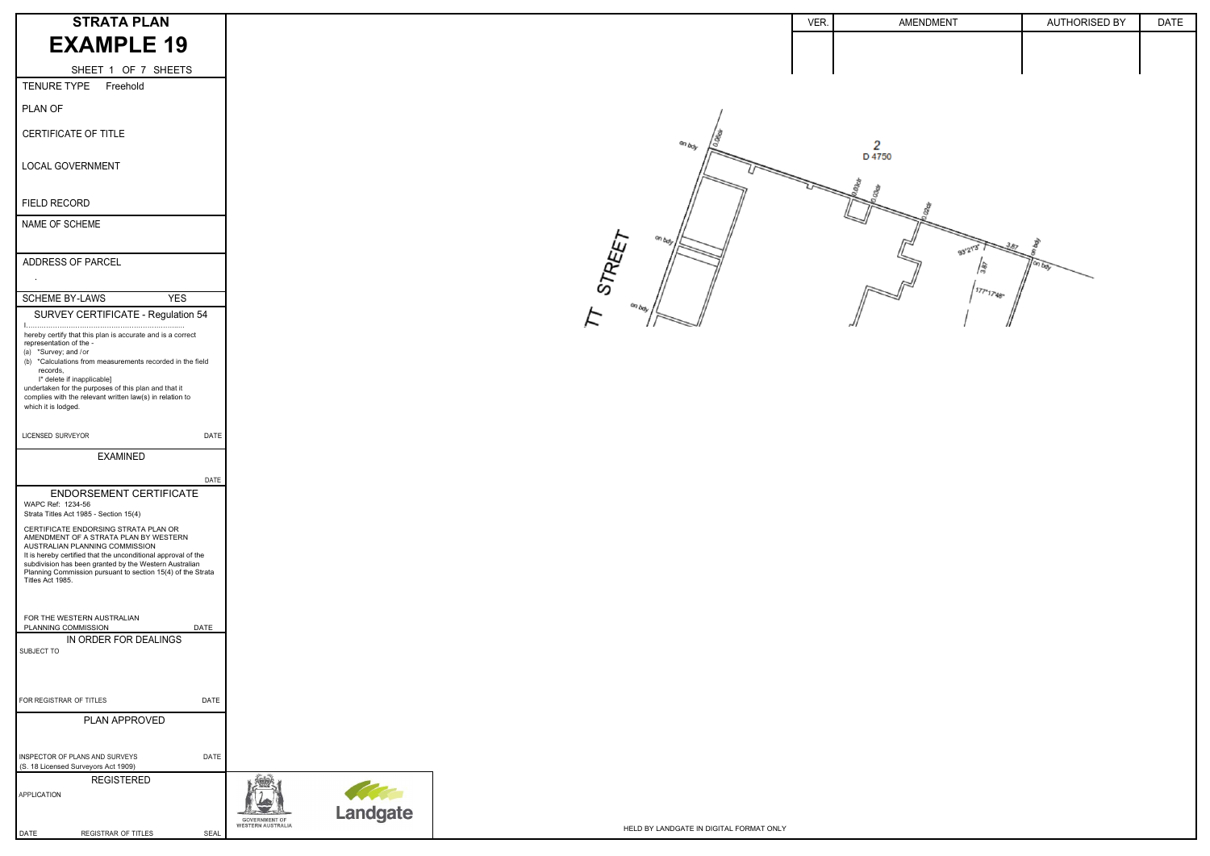| <b>STRATA PLAN</b>                                                                                                                                                                                                       |                                                              |                                         | VER. | AMENDMENT | <b>AUTHORISED BY</b> | <b>DATE</b> |
|--------------------------------------------------------------------------------------------------------------------------------------------------------------------------------------------------------------------------|--------------------------------------------------------------|-----------------------------------------|------|-----------|----------------------|-------------|
| <b>EXAMPLE 19</b>                                                                                                                                                                                                        |                                                              |                                         |      |           |                      |             |
| SHEET 1 OF 7 SHEETS                                                                                                                                                                                                      |                                                              |                                         |      |           |                      |             |
| TENURE TYPE<br>Freehold                                                                                                                                                                                                  |                                                              |                                         |      |           |                      |             |
| PLAN OF                                                                                                                                                                                                                  |                                                              |                                         |      |           |                      |             |
| CERTIFICATE OF TITLE                                                                                                                                                                                                     |                                                              |                                         |      |           |                      |             |
| LOCAL GOVERNMENT                                                                                                                                                                                                         |                                                              |                                         |      |           |                      |             |
| FIELD RECORD                                                                                                                                                                                                             |                                                              |                                         |      |           |                      |             |
| NAME OF SCHEME                                                                                                                                                                                                           |                                                              |                                         |      |           |                      |             |
| ADDRESS OF PARCEL<br>$\sim$ 100 $\pm$                                                                                                                                                                                    |                                                              |                                         |      |           |                      |             |
| <b>SCHEME BY-LAWS</b><br><b>YES</b>                                                                                                                                                                                      |                                                              |                                         |      |           |                      |             |
| SURVEY CERTIFICATE - Regulation 54                                                                                                                                                                                       |                                                              |                                         |      |           |                      |             |
| hereby certify that this plan is accurate and is a correct<br>representation of the -<br>(a) *Survey; and /or                                                                                                            |                                                              |                                         |      |           |                      |             |
| (b) *Calculations from measurements recorded in the field<br>records,                                                                                                                                                    |                                                              |                                         |      |           |                      |             |
| I* delete if inapplicable]<br>undertaken for the purposes of this plan and that it<br>complies with the relevant written law(s) in relation to<br>which it is lodged.                                                    |                                                              |                                         |      |           |                      |             |
| LICENSED SURVEYOR<br>DATE                                                                                                                                                                                                |                                                              |                                         |      |           |                      |             |
| <b>EXAMINED</b>                                                                                                                                                                                                          |                                                              |                                         |      |           |                      |             |
| DATE<br>ENDORSEMENT CERTIFICATE<br>WAPC Ref: 1234-56                                                                                                                                                                     |                                                              |                                         |      |           |                      |             |
| Strata Titles Act 1985 - Section 15(4)<br>CERTIFICATE ENDORSING STRATA PLAN OR<br>AMENDMENT OF A STRATA PLAN BY WESTERN                                                                                                  |                                                              |                                         |      |           |                      |             |
| AUSTRALIAN PLANNING COMMISSION<br>It is hereby certified that the unconditional approval of the<br>subdivision has been granted by the Western Australian<br>Planning Commission pursuant to section 15(4) of the Strata |                                                              |                                         |      |           |                      |             |
| Titles Act 1985.                                                                                                                                                                                                         |                                                              |                                         |      |           |                      |             |
| FOR THE WESTERN AUSTRALIAN<br>PLANNING COMMISSION<br><b>DATE</b>                                                                                                                                                         |                                                              |                                         |      |           |                      |             |
| IN ORDER FOR DEALINGS<br>SUBJECT TO                                                                                                                                                                                      |                                                              |                                         |      |           |                      |             |
|                                                                                                                                                                                                                          |                                                              |                                         |      |           |                      |             |
| FOR REGISTRAR OF TITLES<br>DATE                                                                                                                                                                                          |                                                              |                                         |      |           |                      |             |
| PLAN APPROVED                                                                                                                                                                                                            |                                                              |                                         |      |           |                      |             |
| <b>DATE</b><br>INSPECTOR OF PLANS AND SURVEYS<br>(S. 18 Licensed Surveyors Act 1909)                                                                                                                                     |                                                              |                                         |      |           |                      |             |
| <b>REGISTERED</b><br>APPLICATION                                                                                                                                                                                         |                                                              |                                         |      |           |                      |             |
|                                                                                                                                                                                                                          | Landgate<br><b>GOVERNMENT OF</b><br><b>WESTERN AUSTRALIA</b> |                                         |      |           |                      |             |
| REGISTRAR OF TITLES<br>SEAL<br>DATE                                                                                                                                                                                      |                                                              | HELD BY LANDGATE IN DIGITAL FORMAT ONLY |      |           |                      |             |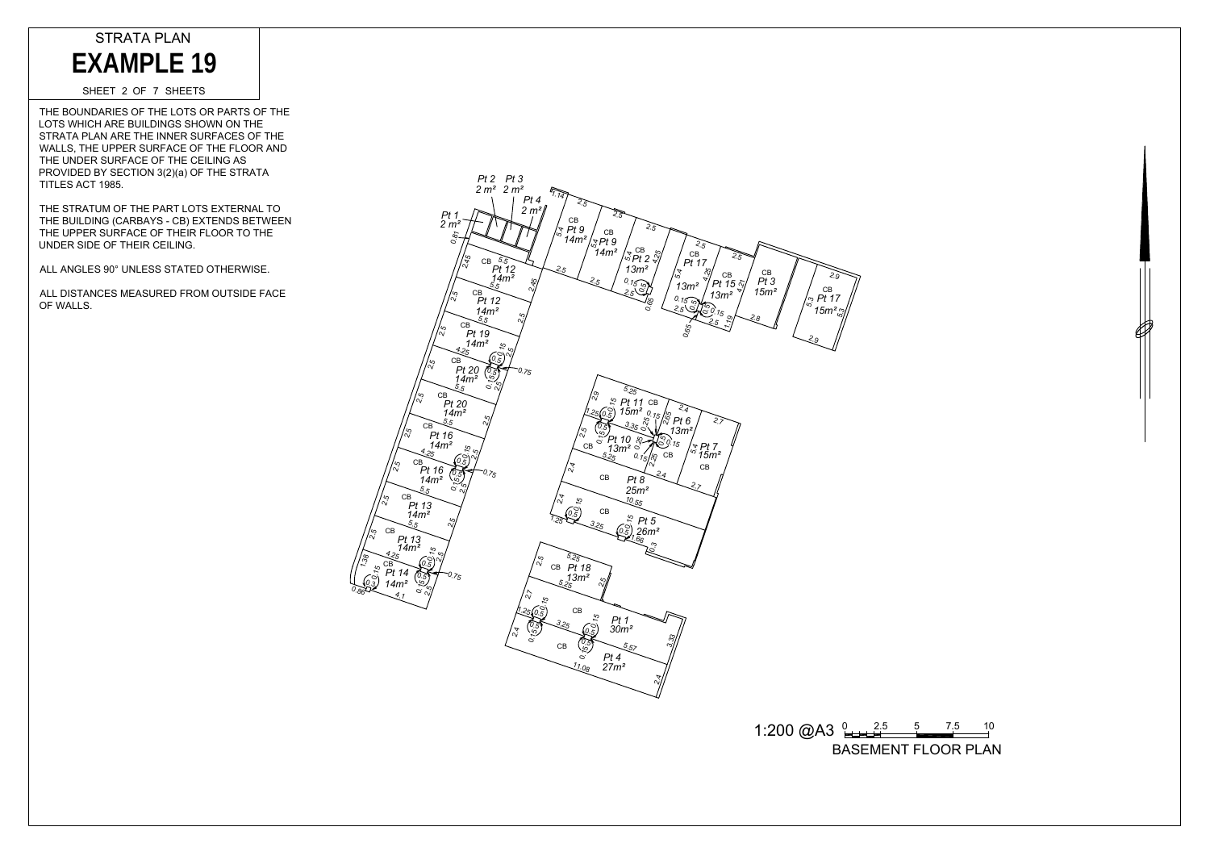THE BOUNDARIES OF THE LOTS OR PARTS OF THE LOTS WHICH ARE BUILDINGS SHOWN ON THE STRATA PLAN ARE THE INNER SURFACES OF THE WALLS, THE UPPER SURFACE OF THE FLOOR AND THE UNDER SURFACE OF THE CEILING AS PROVIDED BY SECTION 3(2)(a) OF THE STRATA TITLES ACT 1985. EXAMPLE 19<br>
SHEET 2 OF 7 SHEETS<br>
THE BOUNDARIES OF THE LOTS OR<br>
OTS WHICH ARE BUILDINGS SHOWN<br>
TIRATA PLAN ARE THE INNER SURFACE OF THE CEILIN<br>
HALLS, THE UPPER SURFACE OF THE CEILIN<br>
TRUDER SURFACE OF THE CEILIN<br>
THE UPPE

SHEET 2 OF 7 SHEETS

THE STRATUM OF THE PART LOTS EXTERNAL TO THE BUILDING (CARBAYS - CB) EXTENDS BETWEEN THE UPPER SURFACE OF THEIR FLOOR TO THE UNDER SIDE OF THEIR CEILING.

ALL ANGLES 90° UNLESS STATED OTHERWISE.

ALL DISTANCES MEASURED FROM OUTSIDE FACE OF WALLS.





 $1:200 \text{ @A3 } \underbrace{0.25}_{0.25} = 5 \qquad 7.5 \qquad 10.5$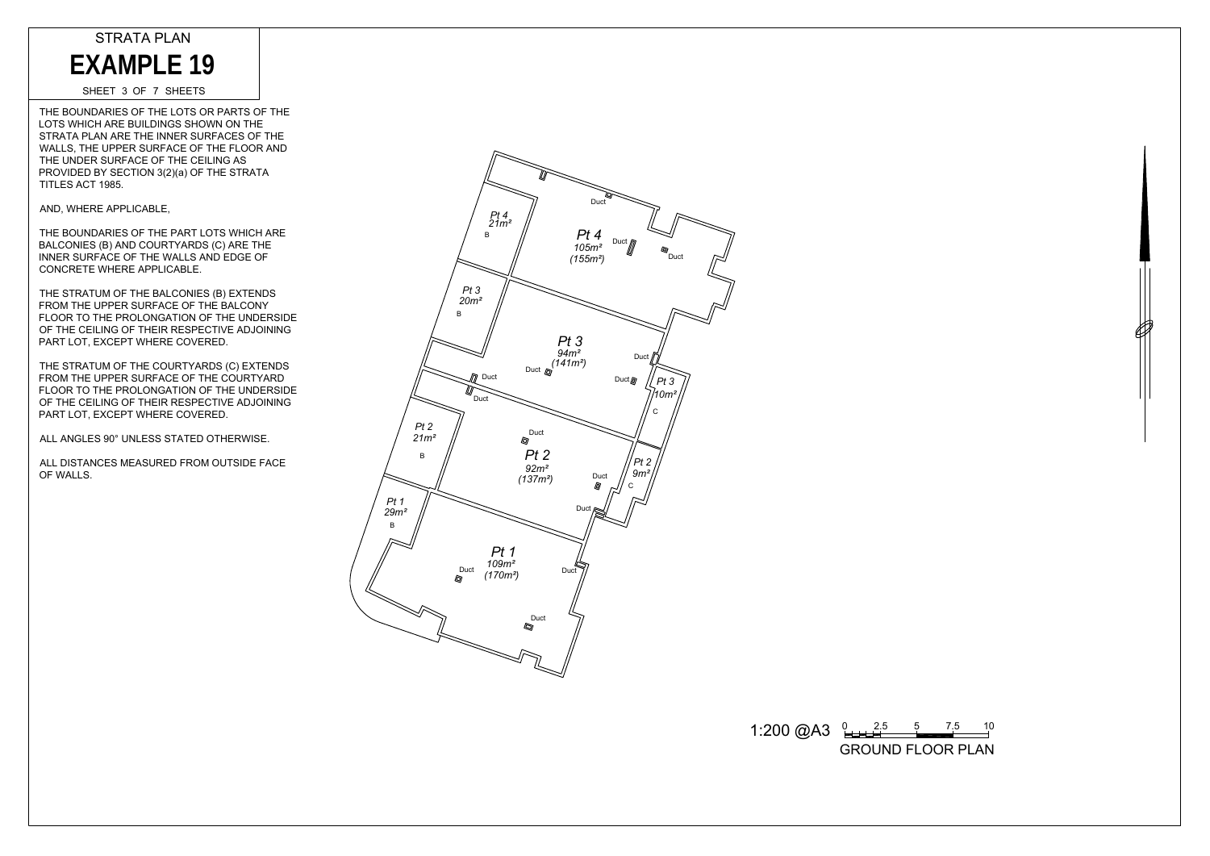THE BOUNDARIES OF THE LOTS OR PARTS OF THE LOTS WHICH ARE BUILDINGS SHOWN ON THE STRATA PLAN ARE THE INNER SURFACES OF THE WALLS, THE UPPER SURFACE OF THE FLOOR AND THE UNDER SURFACE OF THE CEILING AS PROVIDED BY SECTION 3(2)(a) OF THE STRATA TITLES ACT 1985. EXAMPLE 19<br>
SHEET 3 OF 7 SHEETS<br>
HE BOUNDARIES OF THE LOTS OR<br>
TRATA PLAN ARE BUILDINGS SHOW<br>
TRATA PLAN ARE BUILDINGS SHOW<br>
MALLS, THE UPPER SURFACE OF THE CEILI<br>
TRES ACT 1985.<br>
ND, WHERE APPLICABLE,<br>
HE BOUNDARIES OF TH

SHEET 3 OF 7 SHEETS

AND, WHERE APPLICABLE,

THE BOUNDARIES OF THE PART LOTS WHICH ARE BALCONIES (B) AND COURTYARDS (C) ARE THE INNER SURFACE OF THE WALLS AND EDGE OF CONCRETE WHERE APPLICABLE.

THE STRATUM OF THE BALCONIES (B) EXTENDS FROM THE UPPER SURFACE OF THE BALCONY FLOOR TO THE PROLONGATION OF THE UNDERSIDE OF THE CEILING OF THEIR RESPECTIVE ADJOINING PART LOT, EXCEPT WHERE COVERED.

THE STRATUM OF THE COURTYARDS (C) EXTENDS FROM THE UPPER SURFACE OF THE COURTYARD FLOOR TO THE PROLONGATION OF THE UNDERSIDE OF THE CEILING OF THEIR RESPECTIVE ADJOINING PART LOT, EXCEPT WHERE COVERED.

ALL ANGLES 90° UNLESS STATED OTHERWISE.

ALL DISTANCES MEASURED FROM OUTSIDE FACE OF WALLS.



 $1:200 \text{ @A3 } \underset{2 \text{}}{\underbrace{0 \cdot 2.5}} \underset{3 \text{}}{\underbrace{5 \cdot 5}} \underset{5}{\underbrace{7.5 \cdot 10}}$ 

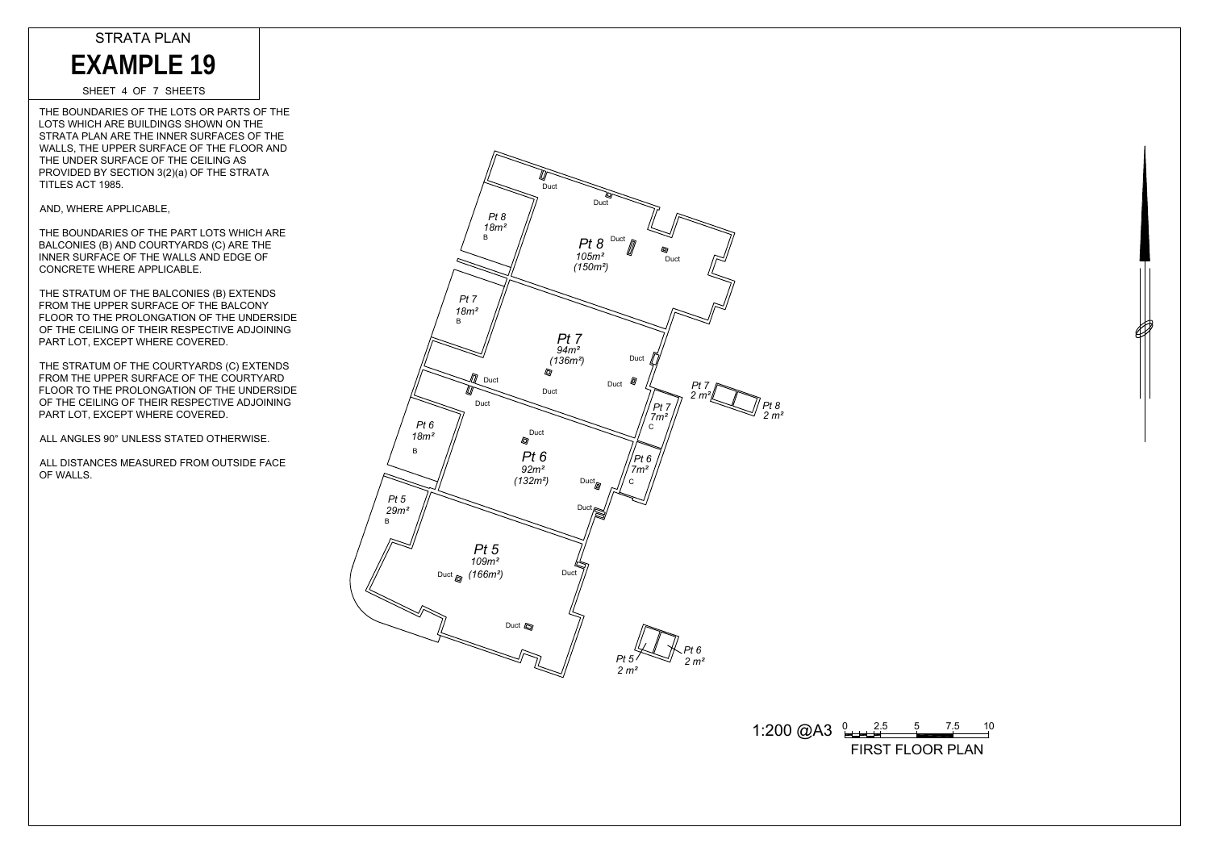SHEET 4 OF 7 SHEETS

THE BOUNDARIES OF THE LOTS OR PARTS OF THE LOTS WHICH ARE BUILDINGS SHOWN ON THE STRATA PLAN ARE THE INNER SURFACES OF THE WALLS, THE UPPER SURFACE OF THE FLOOR AND THE UNDER SURFACE OF THE CEILING AS PROVIDED BY SECTION 3(2)(a) OF THE STRATA TITLES ACT 1985. EXAMPLE 19<br>
SHEET 4 OF 7 SHEETS<br>
HE BOUNDARIES OF THE LOTS OR<br>
TRATA PLAN ARE BUILDINGS SHOW<br>
TRATA PLAN ARE THE INNER SURFACE OF THE CEILI<br>
HE UNDER SURFACE OF THE CEILI<br>
TLES ACT 1985.<br>
ND, WHERE APPLICABLE,<br>
HE BOUNDARI

AND, WHERE APPLICABLE,

THE BOUNDARIES OF THE PART LOTS WHICH ARE BALCONIES (B) AND COURTYARDS (C) ARE THE INNER SURFACE OF THE WALLS AND EDGE OF CONCRETE WHERE APPLICABLE.

THE STRATUM OF THE BALCONIES (B) EXTENDS FROM THE UPPER SURFACE OF THE BALCONY FLOOR TO THE PROLONGATION OF THE UNDERSIDE OF THE CEILING OF THEIR RESPECTIVE ADJOINING PART LOT, EXCEPT WHERE COVERED.

THE STRATUM OF THE COURTYARDS (C) EXTENDS FROM THE UPPER SURFACE OF THE COURTYARD FLOOR TO THE PROLONGATION OF THE UNDERSIDE OF THE CEILING OF THEIR RESPECTIVE ADJOINING PART LOT, EXCEPT WHERE COVERED.

ALL ANGLES 90° UNLESS STATED OTHERWISE.

ALL DISTANCES MEASURED FROM OUTSIDE FACE OF WALLS.





1:200  $\textcircled{2}$ A3  $\frac{0.25}{0.25}$   $\frac{5}{10}$   $\frac{7.5}{10}$   $\frac{10}{10}$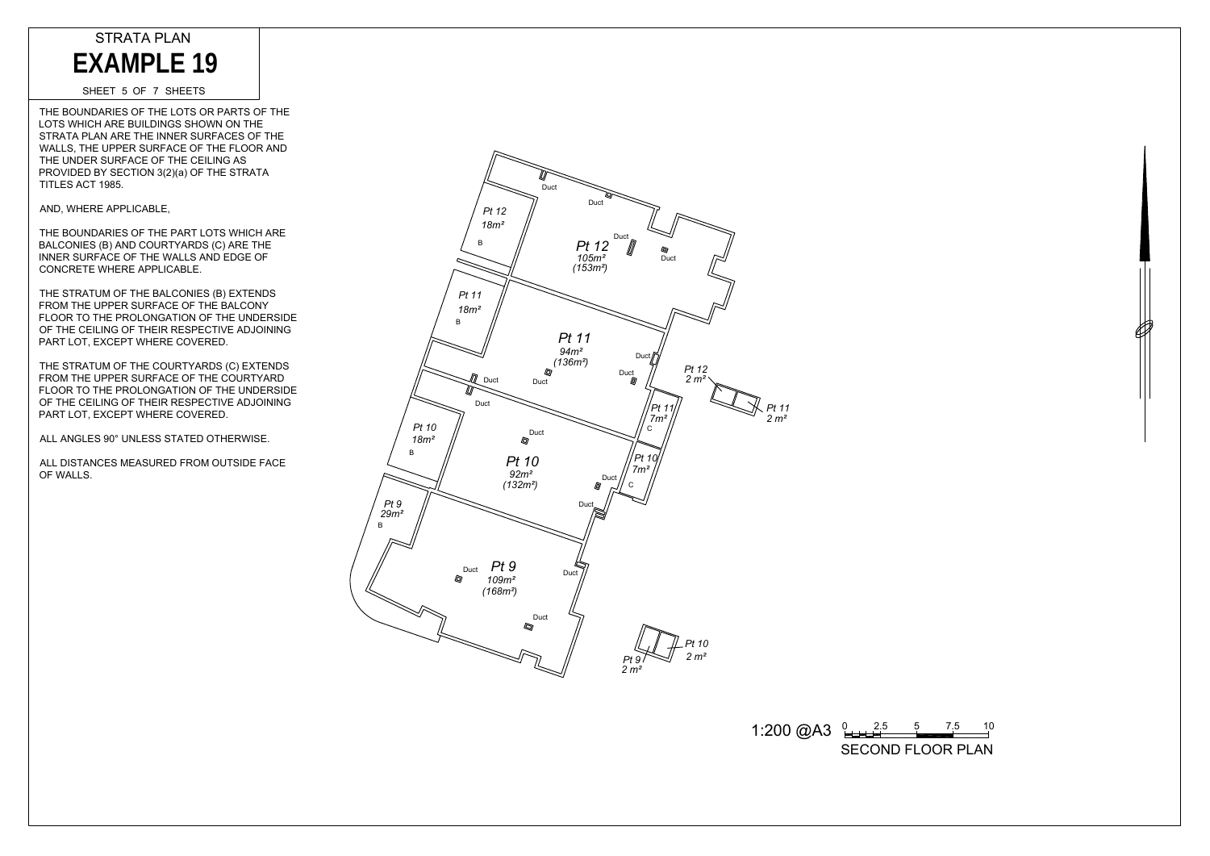SHEET 5 OF 7 SHEETS

THE BOUNDARIES OF THE LOTS OR PARTS OF THE LOTS WHICH ARE BUILDINGS SHOWN ON THE STRATA PLAN ARE THE INNER SURFACES OF THE WALLS, THE UPPER SURFACE OF THE FLOOR AND THE UNDER SURFACE OF THE CEILING AS PROVIDED BY SECTION 3(2)(a) OF THE STRATA TITLES ACT 1985. EXAMPLE 19<br>
SHEET 5 OF 7 SHEETS<br>
HE BOUNDARIES OF THE LOTS OR<br>
OTS WHICH ARE BUILDINGS SHOWN<br>
TRATA PLAN ARE THE INNER SURF-<br>
MALLS, THE UPPER SURFACE OF THE CEILIN<br>
HALLS, THE UPPER SURFACE OF THE CEILIN<br>
FROWDED BY SECTI

AND, WHERE APPLICABLE,

THE BOUNDARIES OF THE PART LOTS WHICH ARE BALCONIES (B) AND COURTYARDS (C) ARE THE INNER SURFACE OF THE WALLS AND EDGE OF CONCRETE WHERE APPLICABLE.

THE STRATUM OF THE BALCONIES (B) EXTENDS FROM THE UPPER SURFACE OF THE BALCONY FLOOR TO THE PROLONGATION OF THE UNDERSIDE OF THE CEILING OF THEIR RESPECTIVE ADJOINING PART LOT, EXCEPT WHERE COVERED.

THE STRATUM OF THE COURTYARDS (C) EXTENDS FROM THE UPPER SURFACE OF THE COURTYARD FLOOR TO THE PROLONGATION OF THE UNDERSIDE OF THE CEILING OF THEIR RESPECTIVE ADJOINING PART LOT, EXCEPT WHERE COVERED.

ALL ANGLES 90° UNLESS STATED OTHERWISE.

ALL DISTANCES MEASURED FROM OUTSIDE FACE OF WALLS.



 $1:200 \text{ @A3 } \underset{2.11 \text{ A}}{0} \underset{1.21 \text{ A}}{0.1}$ 

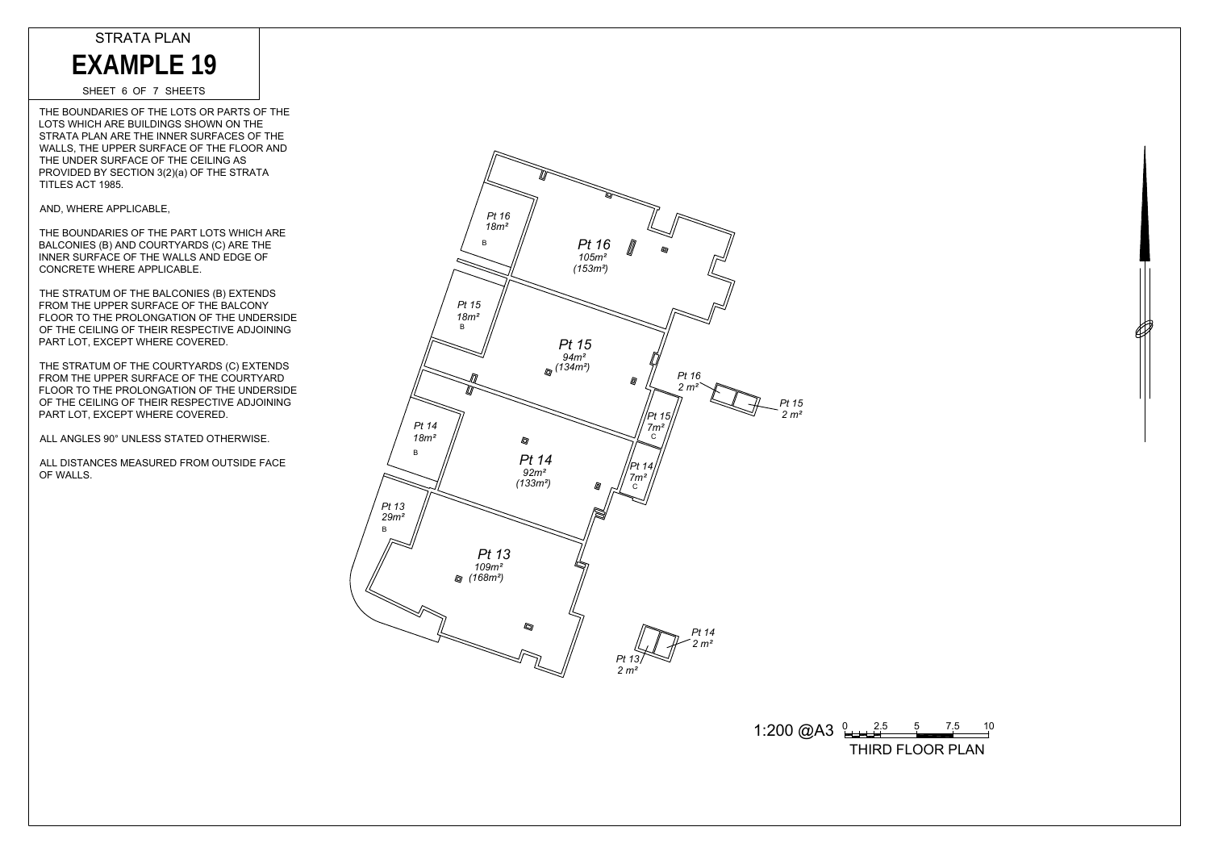SHEET 6 OF 7 SHEETS

THE BOUNDARIES OF THE LOTS OR PARTS OF THE LOTS WHICH ARE BUILDINGS SHOWN ON THE STRATA PLAN ARE THE INNER SURFACES OF THE WALLS, THE UPPER SURFACE OF THE FLOOR AND THE UNDER SURFACE OF THE CEILING AS PROVIDED BY SECTION 3(2)(a) OF THE STRATA TITLES ACT 1985. EXAMPLE 19<br>
SHEET 6 OF 7 SHEETS<br>
HE BOUNDARIES OF THE LOTS OR<br>
TRATA PLAN ARE BUILDINGS SHOW<br>
TRATA PLAN ARE THE INNER SURFACE OF THE CEILI<br>
HE UNDER SURFACE OF THE CEILI<br>
ROVIDED BY SECTION 3(2)(a) OF THE CEILI<br>
TLES ACT

AND, WHERE APPLICABLE,

THE BOUNDARIES OF THE PART LOTS WHICH ARE BALCONIES (B) AND COURTYARDS (C) ARE THE INNER SURFACE OF THE WALLS AND EDGE OF CONCRETE WHERE APPLICABLE.

THE STRATUM OF THE BALCONIES (B) EXTENDS FROM THE UPPER SURFACE OF THE BALCONY FLOOR TO THE PROLONGATION OF THE UNDERSIDE OF THE CEILING OF THEIR RESPECTIVE ADJOINING PART LOT, EXCEPT WHERE COVERED.

THE STRATUM OF THE COURTYARDS (C) EXTENDS FROM THE UPPER SURFACE OF THE COURTYARD FLOOR TO THE PROLONGATION OF THE UNDERSIDE OF THE CEILING OF THEIR RESPECTIVE ADJOINING PART LOT, EXCEPT WHERE COVERED.

ALL ANGLES 90° UNLESS STATED OTHERWISE.

ALL DISTANCES MEASURED FROM OUTSIDE FACE OF WALLS.



 $1:200 \text{ @A3 } \text{L1} \text{ }^{2.5} \text{ }^{5} \text{ }^{7.5} \text{ }^{10}$